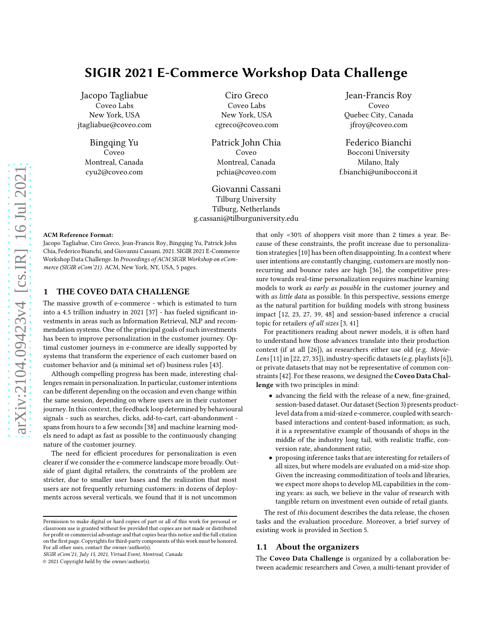# SIGIR 2021 E-Commerce Workshop Data Challenge

Jacopo Tagliabue Coveo Labs New York, USA jtagliabue@coveo.com

> Bingqing Yu Coveo Montreal, Canada cyu2@coveo.com

Ciro Greco Coveo Labs New York, USA cgreco@coveo.com

Patrick John Chia Coveo Montreal, Canada pchia@coveo.com

Giovanni Cassani Tilburg University Tilburg, Netherlands g.cassani@tilburguniversity.edu

Jean-Francis Roy Coveo Quebec City, Canada jfroy@coveo.com

Federico Bianchi Bocconi University Milano, Italy f.bianchi@unibocconi.it

#### ACM Reference Format:

Jacopo Tagliabue, Ciro Greco, Jean-Francis Roy, Bingqing Yu, Patrick John Chia, Federico Bianchi, and Giovanni Cassani. 2021. SIGIR 2021 E-Commerce Workshop Data Challenge. In Proceedings of ACM SIGIR Workshop on eCommerce (SIGIR eCom'21). ACM, New York, NY, USA, [5](#page-4-0) pages.

# 1 THE COVEO DATA CHALLENGE

The massive growth of e-commerce - which is estimated to turn into a 4.5 trillion industry in 2021 [\[37\]](#page-4-1) - has fueled significant investments in areas such as Information Retrieval, NLP and recommendation systems. One of the principal goals of such investments has been to improve personalization in the customer journey. Optimal customer journeys in e-commerce are ideally supported by systems that transform the experience of each customer based on customer behavior and (a minimal set of) business rules [\[43](#page-4-2)].

Although compelling progress has been made, interesting challenges remain in personalization. In particular, customer intentions can be different depending on the occasion and even change within the same session, depending on where users are in their customer journey. In this context, the feedback loop determined by behavioural signals - such as searches, clicks, add-to-cart, cart-abandonment spans from hours to a few seconds [38] and machine learning models need to adapt as fast as possible to the continuously changing nature of the customer journey.

The need for efficient procedures for personalization is even clearer if we consider the e-commerce landscape more broadly. Outside of giant digital retailers, the constraints of the problem are stricter, due to smaller user bases and the realization that most users are not frequently returning customers: in dozens of deployments across several verticals, we found that it is not uncommon

that only <30% of shoppers visit more than 2 times a year. Because of these constraints, the profit increase due to personalization strategies [\[10](#page-3-0)] has been often disappointing. In a context where user intentions are constantly changing, customers are mostly nonrecurring and bounce rates are high [\[36\]](#page-4-3), the competitive pressure towards real-time personalization requires machine learning models to work as early as possible in the customer journey and with as little data as possible. In this perspective, sessions emerge as the natural partition for building models with strong business impact [\[12,](#page-3-1) [23](#page-3-2), 27, 39, 48] and session-based inference a crucial topic for retailers of all sizes [\[3,](#page-3-3) [41\]](#page-4-4)

For practitioners reading about newer models, it is often hard to understand how those advances translate into their production context (if at all [26]), as researchers either use old (e.g. Movie-Lens [11] in [\[22](#page-3-4), 27, [35\]](#page-4-5)), industry-specific datasets (e.g. playlists [6]), or private datasets that may not be representative of common constraints [\[42\]](#page-4-6). For these reasons, we designed the Coveo Data Challenge with two principles in mind:

- advancing the field with the release of a new, fine-grained, session-based dataset. Our dataset (Section [3\)](#page-1-0) presents productlevel data from a mid-sized e-commerce, coupled with searchbased interactions and content-based information; as such, it is a representative example of thousands of shops in the middle of the industry long tail, with realistic traffic, conversion rate, abandonment ratio;
- proposing inference tasks that are interesting for retailers of all sizes, but where models are evaluated on a mid-size shop. Given the increasing commoditization of tools and libraries, we expect more shops to develop ML capabilities in the coming years: as such, we believe in the value of research with tangible return on investment even outside of retail giants.

The rest of this document describes the data release, the chosen tasks and the evaluation procedure. Moreover, a brief survey of existing work is provided in Section [5.](#page-3-5)

#### 1.1 About the organizers

The Coveo Data Challenge is organized by a collaboration between academic researchers and Coveo, a multi-tenant provider of

Permission to make digital or hard copies of part or all of this work for personal or classroom use is granted without fee provided that copies are not made or distributed for profit or commercial advantage and that copies bear this notice and the full citation on the first page. Copyrights for third-party components of this work must be honored. For all other uses, contact the owner/author(s).

SIGIR eCom'21, July 15, 2021, Virtual Event, Montreal, Canada

<sup>© 2021</sup> Copyright held by the owner/author(s).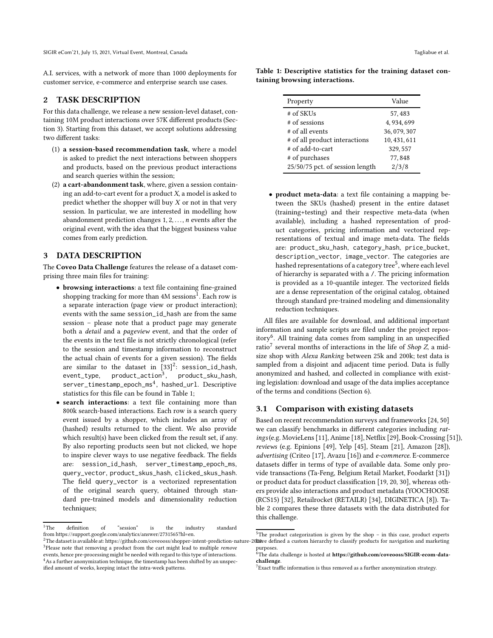A.I. services, with a network of more than 1000 deployments for customer service, e-commerce and enterprise search use cases.

## 2 TASK DESCRIPTION

For this data challenge, we release a new session-level dataset, containing 10M product interactions over 57K different products (Section [3\)](#page-1-0). Starting from this dataset, we accept solutions addressing two different tasks:

- (1) a session-based recommendation task, where a model is asked to predict the next interactions between shoppers and products, based on the previous product interactions and search queries within the session;
- (2) a cart-abandonment task, where, given a session containing an add-to-cart event for a product  $X$ , a model is asked to predict whether the shopper will buy  $X$  or not in that very session. In particular, we are interested in modelling how abandonment prediction changes  $1, 2, \ldots, n$  events after the original event, with the idea that the biggest business value comes from early prediction.

#### <span id="page-1-0"></span>3 DATA DESCRIPTION

The Coveo Data Challenge features the release of a dataset comprising three main files for training:

- browsing interactions: a text file containing fine-grained shopping tracking for more than 4M sessions<sup>[1](#page-1-1)</sup>. Each row is a separate interaction (page view or product interaction); events with the same session\_id\_hash are from the same session – please note that a product page may generate both a detail and a pageview event, and that the order of the events in the text file is not strictly chronological (refer to the session and timestamp information to reconstruct the actual chain of events for a given session). The fields are similar to the dataset in  $[33]^2$  $[33]^2$ : session\_id\_hash,  $event_type$ , product\_action<sup>[3](#page-1-3)</sup>, , product\_sku\_hash,  $\texttt{server\_time stamp\_epoch\_ms}^4, \texttt{ hashed\_url. Describe}$  $\texttt{server\_time stamp\_epoch\_ms}^4, \texttt{ hashed\_url. Describe}$  $\texttt{server\_time stamp\_epoch\_ms}^4, \texttt{ hashed\_url. Describe}$ statistics for this file can be found in Table [1;](#page-1-5)
- search interactions: a text file containing more than 800k search-based interactions. Each row is a search query event issued by a shopper, which includes an array of (hashed) results returned to the client. We also provide which result(s) have been clicked from the result set, if any. By also reporting products seen but not clicked, we hope to inspire clever ways to use negative feedback. The fields are: session\_id\_hash, server\_timestamp\_epoch\_ms, query\_vector, product\_skus\_hash, clicked\_skus\_hash. The field query\_vector is a vectorized representation of the original search query, obtained through standard pre-trained models and dimensionality reduction techniques;

<span id="page-1-5"></span>Table 1: Descriptive statistics for the training dataset containing browsing interactions.

| Property                        | Value        |
|---------------------------------|--------------|
| $#$ of SKUs                     | 57.483       |
| # of sessions                   | 4, 934, 699  |
| # of all events                 | 36, 079, 307 |
| # of all product interactions   | 10, 431, 611 |
| # of add-to-cart                | 329, 557     |
| # of purchases                  | 77,848       |
| 25/50/75 pct. of session length | 2/3/8        |

• product meta-data: a text file containing a mapping between the SKUs (hashed) present in the entire dataset (training+testing) and their respective meta-data (when available), including a hashed representation of product categories, pricing information and vectorized representations of textual and image meta-data. The fields are: product\_sku\_hash, category\_hash, price\_bucket, description\_vector, image\_vector. The categories are hashed representations of a category tree<sup>[5](#page-1-6)</sup>, where each level of hierarchy is separated with a /. The pricing information is provided as a 10-quantile integer. The vectorized fields are a dense representation of the original catalog, obtained through standard pre-trained modeling and dimensionality reduction techniques.

All files are available for download, and additional important information and sample scripts are filed under the project repos-itory<sup>[6](#page-1-7)</sup>. All training data comes from sampling in an unspecified ratio<sup>[7](#page-1-8)</sup> several months of interactions in the life of *Shop Z*, a midsize shop with Alexa Ranking between 25k and 200k; test data is sampled from a disjoint and adjacent time period. Data is fully anonymized and hashed, and collected in compliance with existing legislation: download and usage of the data implies acceptance of the terms and conditions (Section [6\)](#page-3-6).

### 3.1 Comparison with existing datasets

Based on recent recommendation surveys and frameworks [\[24](#page-3-7), [50](#page-4-8)] we can classify benchmarks in different categories including ratings(e.g. MovieLens [11], Anime [\[18\]](#page-3-8), Netflix [\[29](#page-4-9)], Book-Crossing [\[51\]](#page-4-10)), reviews (e.g. Epinions [\[49\]](#page-4-11), Yelp [\[45\]](#page-4-12), Steam [\[21\]](#page-3-9), Amazon [\[28\]](#page-4-13)), advertising (Criteo [\[17](#page-3-10)], Avazu [\[16\]](#page-3-11)) and e-commerce. E-commerce datasets differ in terms of type of available data. Some only provide transactions (Ta-Feng, Belgium Retail Market, Foodarkt [\[31\]](#page-4-14)) or product data for product classification [\[19](#page-3-12), [20,](#page-3-13) [30\]](#page-4-15), whereas others provide also interactions and product metadata (YOOCHOOSE (RCS15) [\[32](#page-4-16)], Retailrocket (RETAILR) [\[34\]](#page-4-17), DIGINETICA [\[8](#page-3-14)]). Table [2](#page-2-0) compares these three datasets with the data distributed for this challenge.

<sup>&</sup>lt;sup>1</sup>The definition of "session" is the industry standard from [https://support.google.com/analytics/answer/2731565?hl=en.](https://support.google.com/analytics/answer/2731565?hl=en)

<span id="page-1-3"></span><span id="page-1-2"></span><sup>&</sup>lt;sup>3</sup>Please note that removing a product from the cart might lead to multiple *remove* events, hence pre-processing might be needed with regard to this type of interactions. <sup>4</sup>As a further anonymization technique, the timestamp has been shifted by an unspec-

<span id="page-1-4"></span>ified amount of weeks, keeping intact the intra-week patterns.

<span id="page-1-1"></span> $^2$ The dataset is available at: https://github.com/coveooss/shopper-intent-prediction-nature-20 $\hat{a}$ 0 avec defined a custom hierarchy to classify products for navigation and marketing <sup>5</sup>The product categorization is given by the shop – in this case, product experts purposes.<br><sup>6</sup>The data challenge is hosted at **https://github.com/coveooss/SIGIR-ecom-data-**

<span id="page-1-6"></span>challenge.

<span id="page-1-8"></span><span id="page-1-7"></span> $7$ Exact traffic information is thus removed as a further anonymization strategy.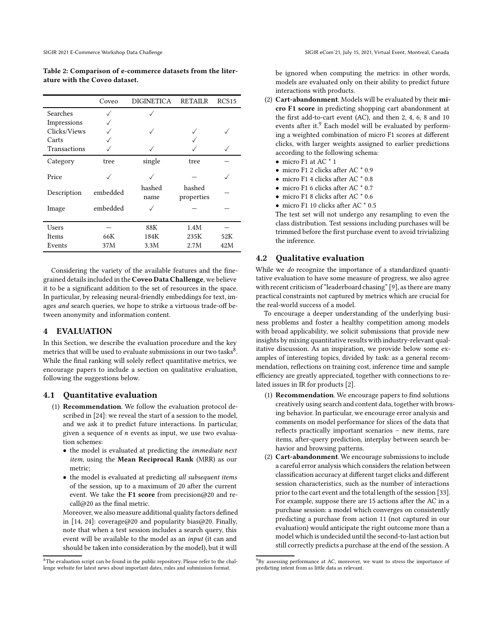<span id="page-2-0"></span>Table 2: Comparison of e-commerce datasets from the literature with the Coveo dataset.

|              | Coveo    | <b>DIGINETICA</b> | <b>RETAILR</b>       | RCS <sub>15</sub> |
|--------------|----------|-------------------|----------------------|-------------------|
| Searches     |          |                   |                      |                   |
| Impressions  |          |                   |                      |                   |
| Clicks/Views |          |                   |                      |                   |
| Carts        |          |                   |                      |                   |
| Transactions |          |                   |                      |                   |
| Category     | tree     | single            | tree                 |                   |
| Price        |          |                   |                      |                   |
| Description  | embedded | hashed<br>name    | hashed<br>properties |                   |
| Image        | embedded |                   |                      |                   |
| Users        |          | 88K               | 1.4M                 |                   |
| Items        | 66K      | 184K              | 235K                 | 52K               |
| Events       | 37M      | 3.3M              | 2.7M                 | 42M               |
|              |          |                   |                      |                   |

Considering the variety of the available features and the finegrained details included in the Coveo Data Challenge, we believe it to be a significant addition to the set of resources in the space. In particular, by releasing neural-friendly embeddings for text, images and search queries, we hope to strike a virtuous trade-off between anonymity and information content.

#### **EVALUATION**

In this Section, we describe the evaluation procedure and the key metrics that will be used to evaluate submissions in our two tasks $^{\rm 8}.$  $^{\rm 8}.$  $^{\rm 8}.$ While the final ranking will solely reflect quantitative metrics, we encourage papers to include a section on qualitative evaluation, following the suggestions below.

#### 4.1 Quantitative evaluation

- (1) Recommendation. We follow the evaluation protocol described in [\[24](#page-3-7)]: we reveal the start of a session to the model, and we ask it to predict future interactions. In particular, given a sequence of  $n$  events as input, we use two evaluation schemes:
	- the model is evaluated at predicting the immediate next item, using the Mean Reciprocal Rank (MRR) as our metric;
	- the model is evaluated at predicting all subsequent items of the session, up to a maximum of 20 after the current event. We take the F1 score from precision@20 and recall@20 as the final metric.

Moreover, we also measure additional quality factors defined in [\[14](#page-3-15), [24\]](#page-3-7): coverage@20 and popularity bias@20. Finally, note that when a test session includes a search query, this event will be available to the model as an input (it can and should be taken into consideration by the model), but it will

be ignored when computing the metrics: in other words, models are evaluated only on their ability to predict future interactions with products.

- (2) Cart-abandonment. Models will be evaluated by their micro F1 score in predicting shopping cart abandonment at the first add-to-cart event (AC), and then 2, 4, 6, 8 and 10 events after it.<sup>[9](#page-2-2)</sup> Each model will be evaluated by performing a weighted combination of micro F1 scores at different clicks, with larger weights assigned to earlier predictions according to the following schema:
	- micro F1 at AC  $*$  1
	- micro F1 2 clicks after AC \* 0.9
	- micro F1 4 clicks after AC \* 0.8
	- micro F1 6 clicks after AC  $*$  0.7
	- micro F1 8 clicks after AC \* 0.6
	- micro F1 10 clicks after AC  $*$  0.5

The test set will not undergo any resampling to even the class distribution. Test sessions including purchases will be trimmed before the first purchase event to avoid trivializing the inference.

# 4.2 Qualitative evaluation

While we *do* recognize the importance of a standardized quantitative evaluation to have some measure of progress, we also agree with recent criticism of "leaderboard chasing" [\[9\]](#page-3-16), as there are many practical constraints not captured by metrics which are crucial for the real-world success of a model.

To encourage a deeper understanding of the underlying business problems and foster a healthy competition among models with broad applicability, we solicit submissions that provide new insights by mixing quantitative results with industry-relevant qualitative discussion. As an inspiration, we provide below some examples of interesting topics, divided by task: as a general recommendation, reflections on training cost, inference time and sample efficiency are greatly appreciated, together with connections to related issues in IR for products [\[2](#page-3-17)].

- (1) Recommendation. We encourage papers to find solutions creatively using search and content data, together with browsing behavior. In particular, we encourage error analysis and comments on model performance for slices of the data that reflects practically important scenarios – new items, rare items, after-query prediction, interplay between search behavior and browsing patterns.
- (2) Cart-abandonment.We encourage submissions to include a careful error analysis which considers the relation between classification accuracy at different target clicks and different session characteristics, such as the number of interactions prior to the cart event and the total length of the session [\[33\]](#page-4-7). For example, suppose there are 15 actions after the AC in a purchase session: a model which converges on consistently predicting a purchase from action 11 (not captured in our evaluation) would anticipate the right outcome more than a model which is undecided until the second-to-last action but still correctly predicts a purchase at the end of the session. A

<span id="page-2-1"></span><sup>&</sup>lt;sup>8</sup>The evaluation script can be found in the public repository. Please refer to the challenge website for latest news about important dates, rules and submission format.

<span id="page-2-2"></span><sup>&</sup>lt;sup>9</sup>By assessing performance at AC, moreover, we want to stress the importance of predicting intent from as little data as relevant.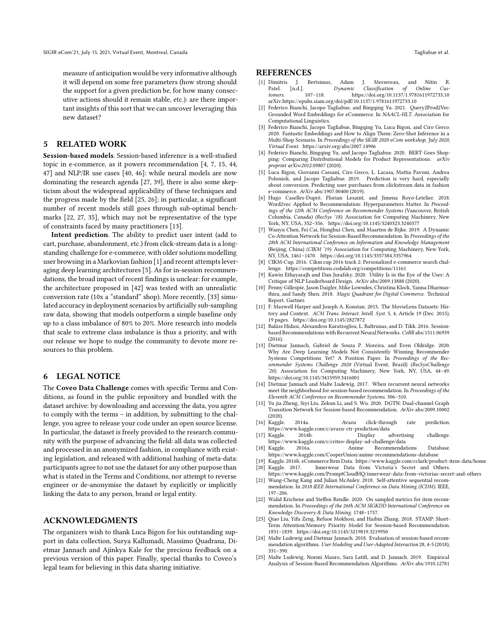measure of anticipation would be very informative although it will depend on some free parameters (how strong should the support for a given prediction be, for how many consecutive actions should it remain stable, etc.): are there important insights of this sort that we can uncover leveraging this new dataset?

## <span id="page-3-5"></span>5 RELATED WORK

Session-based models. Session-based inference is a well-studied topic in e-commerce, as it powers recommendation [\[4,](#page-3-18) 7, [15,](#page-3-19) [44](#page-4-18), [47\]](#page-4-19) and NLP/IR use cases [\[40](#page-4-20), 46]: while neural models are now dominating the research agenda [27, 39], there is also some skepticism about the widespread applicability of these techniques and the progress made by the field [\[25](#page-3-20), 26]; in particular, a significant number of recent models still goes through sub-optimal benchmarks [\[22,](#page-3-4) 27, [35\]](#page-4-5), which may not be representative of the type of constraints faced by many practitioners [13].

Intent prediction. The ability to predict user intent (add to cart, purchase, abandonment, etc.) from click-stream data is a longstanding challenge for e-commerce, with older solutions modelling user browsing in a Markovian fashion [1] and recent attempts leveraging deep learning architectures [\[5](#page-3-21)]. As for in-session recommendations, the broad impact of recent findings is unclear: for example, the architecture proposed in [\[42\]](#page-4-6) was tested with an unrealistic conversion rate (10x a "standard" shop). More recently, [\[33](#page-4-7)] simulated accuracy in deployment scenarios by artificially sub-sampling raw data, showing that models outperform a simple baseline only up to a class imbalance of 80% to 20%. More research into models that scale to extreme class imbalance is thus a priority, and with our release we hope to nudge the community to devote more resources to this problem.

# <span id="page-3-6"></span>6 LEGAL NOTICE

The Coveo Data Challenge comes with specific Terms and Conditions, as found in the public repository and bundled with the dataset archive: by downloading and accessing the data, you agree to comply with the terms – in addition, by submitting to the challenge, you agree to release your code under an open source license. In particular, the dataset is freely provided to the research community with the purpose of advancing the field: all data was collected and processed in an anonymized fashion, in compliance with existing legislation, and released with additional hashing of meta-data: participants agree to not use the dataset for any other purpose than what is stated in the Terms and Conditions, nor attempt to reverse engineer or de-anonymise the dataset by explicitly or implicitly linking the data to any person, brand or legal entity.

#### ACKNOWLEDGMENTS

The organizers wish to thank Luca Bigon for his outstanding support in data collection, Surya Kallumadi, Massimo Quadrana, Dietmar Jannach and Ajinkya Kale for the precious feedback on a previous version of this paper. Finally, special thanks to Coveo's legal team for believing in this data sharing initiative.

#### **REFERENCES**

- [1] Dimitris J. Bertsimas, Adam J. Mersereau, and Nitin R.  $Dynamic$   $Classification$  of  $Online$   $Cus$ <br>107–118  $https://doi.org/10.1137/1.9781611972733.10$ tomers. 107–118.<https://doi.org/10.1137/1.9781611972733.10> arXiv[:https://epubs.siam.org/doi/pdf/10.1137/1.9781611972733.10](https://arxiv.org/abs/https://epubs.siam.org/doi/pdf/10.1137/1.9781611972733.10)
- <span id="page-3-17"></span>Federico Bianchi, Jacopo Tagliabue, and Bingqing Yu. 2021. Query2Prod2Vec: Grounded Word Embeddings for eCommerce. In NAACL-HLT. Association for Computational Linguistics.
- <span id="page-3-3"></span>Federico Bianchi, Jacopo Tagliabue, Bingqing Yu, Luca Bigon, and Ciro Greco. 2020. Fantastic Embeddings and How to Align Them: Zero-Shot Inference in a Multi-Shop Scenario. In Proceedings of the SIGIR 2020 eCom workshop, July 2020, Virtual Event.<https://arxiv.org/abs/2007.14906>
- <span id="page-3-18"></span>[4] Federico Bianchi, Bingqing Yu, and Jacopo Tagliabue. 2020. BERT Goes Shopping: Comparing Distributional Models for Product Representations. arXiv preprint arXiv:2012.09807 (2020).
- <span id="page-3-21"></span>[5] Luca Bigon, Giovanni Cassani, Ciro Greco, L. Lacasa, Mattia Pavoni, Andrea Polonioli, and Jacopo Tagliabue. 2019. Prediction is very hard, especially about conversion. Predicting user purchases from clickstream data in fashion e-commerce. ArXiv abs/1907.00400 (2019).
- [6] Hugo Caselles-Dupré, Florian Lesaint, and Jimena Royo-Letelier. 2018. Word2vec Applied to Recommendation: Hyperparameters Matter. In Proceedings of the 12th ACM Conference on Recommender Systems (Vancouver, British Columbia, Canada) (RecSys '18). Association for Computing Machinery, New York, NY, USA, 352–356.<https://doi.org/10.1145/3240323.3240377>
- [7] Wanyu Chen, Fei Cai, Honghui Chen, and Maarten de Rijke. 2019. A Dynamic Co-Attention Network for Session-Based Recommendation. In Proceedings of the 28th ACM International Conference on Information and Knowledge Management (Beijing, China) (CIKM '19). Association for Computing Machinery, New York, NY, USA, 1461–1470.<https://doi.org/10.1145/3357384.3357964>
- <span id="page-3-14"></span>[8] CIKM-Cup. 2016. Cikm cup 2016 track 2: Personalized e-commerce search challenge. [https://competitions.codalab.org/competitions/11161](https://competitions.codalab. org/competitions/11161)
- <span id="page-3-16"></span>[9] Kawin Ethayarajh and Dan Jurafsky. 2020. Utility Is in the Eye of the User: A Critique of NLP Leaderboard Design. ArXiv abs/2009.13888 (2020).
- <span id="page-3-0"></span>[10] Penny Gillespie, Jason Daigler, Mike Lowndes, Christina Klock, Yanna Dharmasthira, and Sandy Shen. 2018. Magic Quadrant for Digital Commerce. Technical Report. Gartner.
- [11] F. Maxwell Harper and Joseph A. Konstan. 2015. The MovieLens Datasets: History and Context. ACM Trans. Interact. Intell. Syst. 5, 4, Article 19 (Dec. 2015), 19 pages.<https://doi.org/10.1145/2827872>
- <span id="page-3-1"></span>[12] Balázs Hidasi, Alexandros Karatzoglou, L. Baltrunas, and D. Tikk. 2016. Sessionbased Recommendations with Recurrent Neural Networks. CoRR abs/1511.06939 (2016).
- [13] Dietmar Jannach, Gabriel de Souza P. Moreira, and Even Oldridge. 2020. Why Are Deep Learning Models Not Consistently Winning Recommender Systems Competitions Yet? A Position Paper. In Proceedings of the Recommender Systems Challenge 2020 (Virtual Event, Brazil) (RecSysChallenge '20). Association for Computing Machinery, New York, NY, USA, 44–49. <https://doi.org/10.1145/3415959.3416001>
- <span id="page-3-15"></span>[14] Dietmar Jannach and Malte Ludewig. 2017. When recurrent neural networks meet the neighborhood for session-based recommendation. In Proceedings of the Eleventh ACM Conference on Recommender Systems. 306–310.
- <span id="page-3-19"></span>[15] Yu jia Zheng, Siyi Liu, Zekun Li, and S. Wu. 2020. DGTN: Dual-channel Graph Transition Network for Session-based Recommendation. ArXiv abs/2009.10002
- <span id="page-3-11"></span>(2020). [16] Kaggle. 2014a. Avazu click-through rate prediction. <https://www.kaggle.com/c/avazu-ctr-prediction/data>
- <span id="page-3-10"></span>[17] Kaggle. 2014b. Display advertising challenge. <https://www.kaggle.com/c/criteo-display-ad-challenge/data>
- <span id="page-3-8"></span>[18] Kaggle. 2016a. Anime Recommendations Database. <https://www.kaggle.com/CooperUnion/anime-recommendations-database>
- <span id="page-3-12"></span>[19] Kaggle. 2016b. eCommerce Item Data.<https://www.kaggle.com/cclark/product-item-data/home> [20] Kaggle. 2017. Innerwear Data from Victoria's Secret and Others.
- <span id="page-3-13"></span><https://www.kaggle.com/PromptCloudHQ/innerwear-data-from-victorias-secret-and-others>
- <span id="page-3-9"></span>[21] Wang-Cheng Kang and Julian McAuley. 2018. Self-attentive sequential recommendation. In 2018 IEEE International Conference on Data Mining (ICDM). IEEE, 197–206.
- <span id="page-3-4"></span>[22] Walid Krichene and Steffen Rendle. 2020. On sampled metrics for item recommendation. In Proceedings of the 26th ACM SIGKDD International Conference on Knowledge Discovery & Data Mining. 1748–1757.
- <span id="page-3-2"></span>[23] Qiao Liu, Yifu Zeng, Refuoe Mokhosi, and Haibin Zhang. 2018. STAMP: Short-Term Attention/Memory Priority Model for Session-based Recommendation. 1831–1839.<https://doi.org/10.1145/3219819.3219950>
- <span id="page-3-7"></span>[24] Malte Ludewig and Dietmar Jannach. 2018. Evaluation of session-based recommendation algorithms. User Modeling and User-Adapted Interaction 28, 4-5 (2018), 331–390.
- <span id="page-3-20"></span>[25] Malte Ludewig, Noemi Mauro, Sara Latifi, and D. Jannach. 2019. Empirical Analysis of Session-Based Recommendation Algorithms. ArXiv abs/1910.12781